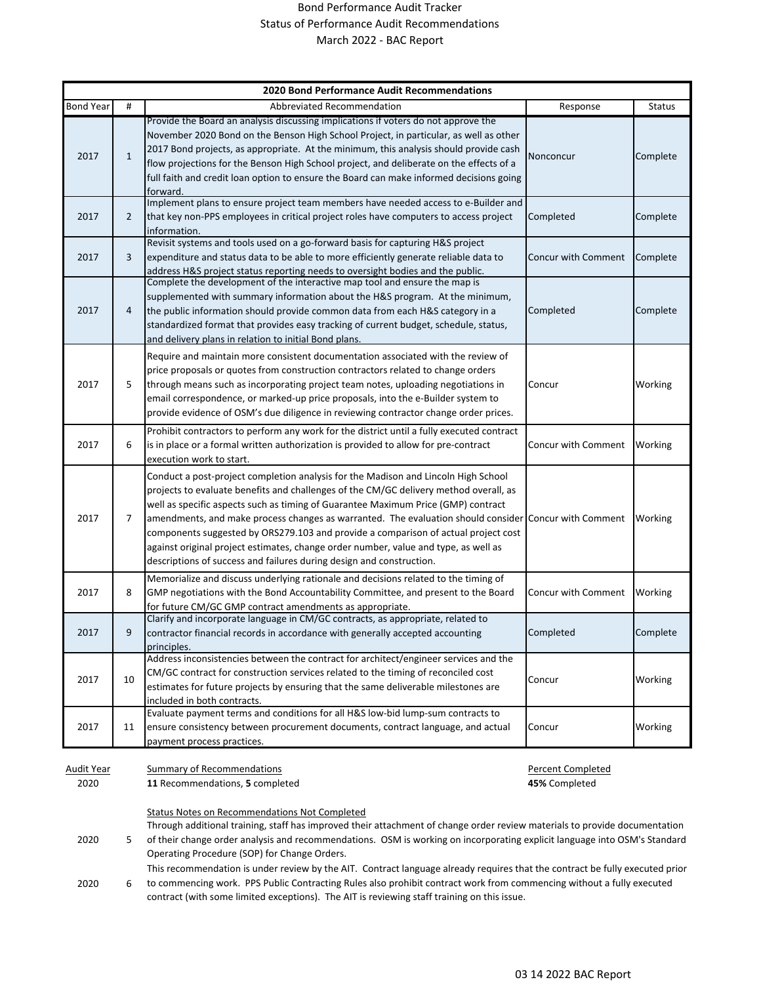## Bond Performance Audit Tracker Status of Performance Audit Recommendations March 2022 - BAC Report

| <b>2020 Bond Performance Audit Recommendations</b> |                |                                                                                                                                                                                                                                                                                                                                                                                                                                                                                                                                                                                                                                |                                    |               |
|----------------------------------------------------|----------------|--------------------------------------------------------------------------------------------------------------------------------------------------------------------------------------------------------------------------------------------------------------------------------------------------------------------------------------------------------------------------------------------------------------------------------------------------------------------------------------------------------------------------------------------------------------------------------------------------------------------------------|------------------------------------|---------------|
| <b>Bond Year</b>                                   | #              | Abbreviated Recommendation                                                                                                                                                                                                                                                                                                                                                                                                                                                                                                                                                                                                     | Response                           | <b>Status</b> |
| 2017                                               | $\mathbf{1}$   | Provide the Board an analysis discussing implications if voters do not approve the<br>November 2020 Bond on the Benson High School Project, in particular, as well as other<br>2017 Bond projects, as appropriate. At the minimum, this analysis should provide cash<br>flow projections for the Benson High School project, and deliberate on the effects of a<br>full faith and credit loan option to ensure the Board can make informed decisions going<br>forward                                                                                                                                                          | Nonconcur                          | Complete      |
| 2017                                               | $\overline{2}$ | Implement plans to ensure project team members have needed access to e-Builder and<br>that key non-PPS employees in critical project roles have computers to access project<br>information.                                                                                                                                                                                                                                                                                                                                                                                                                                    | Completed                          | Complete      |
| 2017                                               | 3              | Revisit systems and tools used on a go-forward basis for capturing H&S project<br>expenditure and status data to be able to more efficiently generate reliable data to<br>address H&S project status reporting needs to oversight bodies and the public.                                                                                                                                                                                                                                                                                                                                                                       | Concur with Comment                | Complete      |
| 2017                                               | 4              | Complete the development of the interactive map tool and ensure the map is<br>supplemented with summary information about the H&S program. At the minimum,<br>the public information should provide common data from each H&S category in a<br>standardized format that provides easy tracking of current budget, schedule, status,<br>and delivery plans in relation to initial Bond plans.                                                                                                                                                                                                                                   | Completed                          | Complete      |
| 2017                                               | 5              | Require and maintain more consistent documentation associated with the review of<br>price proposals or quotes from construction contractors related to change orders<br>through means such as incorporating project team notes, uploading negotiations in<br>email correspondence, or marked-up price proposals, into the e-Builder system to<br>provide evidence of OSM's due diligence in reviewing contractor change order prices.                                                                                                                                                                                          | Concur                             | Working       |
| 2017                                               | 6              | Prohibit contractors to perform any work for the district until a fully executed contract<br>is in place or a formal written authorization is provided to allow for pre-contract<br>execution work to start.                                                                                                                                                                                                                                                                                                                                                                                                                   | Concur with Comment                | Working       |
| 2017                                               | 7              | Conduct a post-project completion analysis for the Madison and Lincoln High School<br>projects to evaluate benefits and challenges of the CM/GC delivery method overall, as<br>well as specific aspects such as timing of Guarantee Maximum Price (GMP) contract<br>amendments, and make process changes as warranted. The evaluation should consider Concur with Comment<br>components suggested by ORS279.103 and provide a comparison of actual project cost<br>against original project estimates, change order number, value and type, as well as<br>descriptions of success and failures during design and construction. |                                    | Working       |
| 2017                                               | 8              | Memorialize and discuss underlying rationale and decisions related to the timing of<br>GMP negotiations with the Bond Accountability Committee, and present to the Board<br>for future CM/GC GMP contract amendments as appropriate.                                                                                                                                                                                                                                                                                                                                                                                           | Concur with Comment                | Working       |
| 2017                                               | 9              | Clarify and incorporate language in CM/GC contracts, as appropriate, related to<br>contractor financial records in accordance with generally accepted accounting<br>principles.                                                                                                                                                                                                                                                                                                                                                                                                                                                | Completed                          | Complete      |
| 2017                                               | 10             | Address inconsistencies between the contract for architect/engineer services and the<br>CM/GC contract for construction services related to the timing of reconciled cost<br>estimates for future projects by ensuring that the same deliverable milestones are<br>included in both contracts.                                                                                                                                                                                                                                                                                                                                 | Concur                             | Working       |
| 2017                                               | 11             | Evaluate payment terms and conditions for all H&S low-bid lump-sum contracts to<br>ensure consistency between procurement documents, contract language, and actual<br>payment process practices.                                                                                                                                                                                                                                                                                                                                                                                                                               | Concur                             | Working       |
| Audit Year<br>2020                                 |                | <b>Summary of Recommendations</b><br>11 Recommendations, 5 completed                                                                                                                                                                                                                                                                                                                                                                                                                                                                                                                                                           | Percent Completed<br>45% Completed |               |
|                                                    |                | Status Notes on Recommendations Not Completed                                                                                                                                                                                                                                                                                                                                                                                                                                                                                                                                                                                  |                                    |               |

2020 5 Through additional training, staff has improved their attachment of change order review materials to provide documentation of their change order analysis and recommendations. OSM is working on incorporating explicit language into OSM's Standard Operating Procedure (SOP) for Change Orders. This recommendation is under review by the AIT. Contract language already requires that the contract be fully executed prior

2020 6 to commencing work. PPS Public Contracting Rules also prohibit contract work from commencing without a fully executed contract (with some limited exceptions). The AIT is reviewing staff training on this issue.